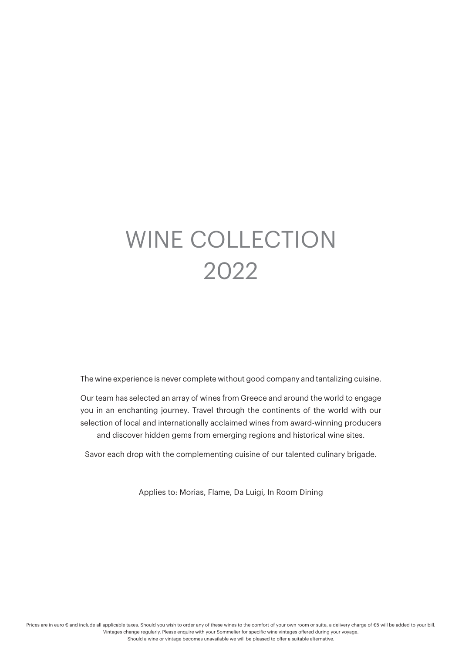# Wine collection 2022

the wine experience is never complete without good company and tantalizing cuisine.

our team has selected an array of wines from Greece and around the world to engage you in an enchanting journey. Travel through the continents of the world with our selection of local and internationally acclaimed wines from award-winning producers and discover hidden gems from emerging regions and historical wine sites.

Savor each drop with the complementing cuisine of our talented culinary brigade.

Applies to: Morias, Flame, Da luigi, in Room Dining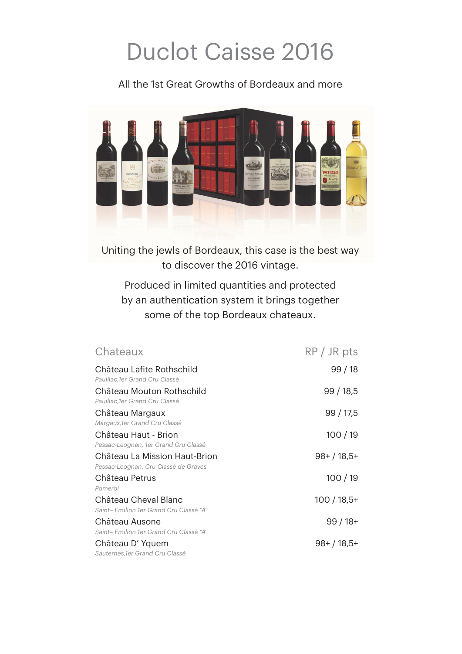# Duclot Caisse 2016

All the 1st Great Growths of Bordeaux and more



Uniting the jewls of Bordeaux, this case is the best way to discover the 2016 vintage.

Produced in limited quantities and protected by an authentication system it brings together some of the top Bordeaux chateaux.

| Chateaux                                                              | $RP / JR$ pts |
|-----------------------------------------------------------------------|---------------|
| Château Lafite Rothschild<br>Pauillac, 1er Grand Cru Classé           | 99/18         |
| Château Mouton Rothschild<br>Pauillac,1er Grand Cru Classé            | 99/18,5       |
| Château Margaux<br>Margaux, 1er Grand Cru Classé                      | 99/17,5       |
| Château Haut - Brion<br>Pessac-Leognan, 1er Grand Cru Classé          | 100/19        |
| Château La Mission Haut-Brion<br>Pessac-Leognan, Cru Classé de Graves | $98+ / 18,5+$ |
| Château Petrus<br>Pomerol                                             | 100/19        |
| Château Cheval Blanc<br>Saint-Emilion 1er Grand Cru Classé "A"        | $100/18,5+$   |
| Château Ausone<br>Saint-Emilion 1er Grand Cru Classé "A"              | $99/18+$      |
| Château D'Yquem<br>Sauternes, 1er Grand Cru Classé                    | $98+ / 18,5+$ |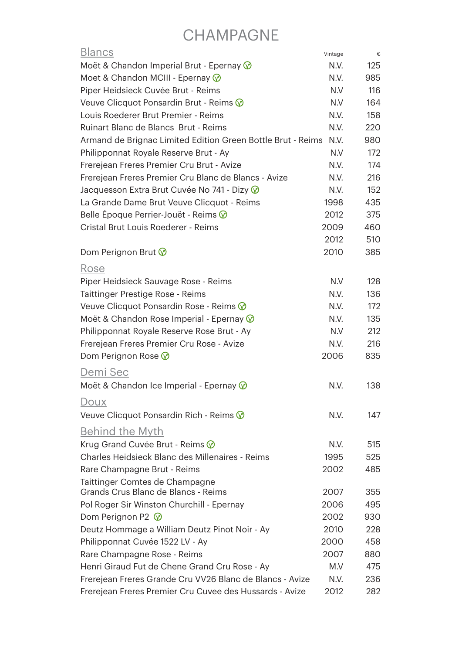# **CHAMPAGNE**

| <b>Blancs</b>                                               | Vintage | €   |
|-------------------------------------------------------------|---------|-----|
| Moët & Chandon Imperial Brut - Epernay $\circledcirc$       | N.V.    | 125 |
| Moet & Chandon MCIII - Epernay @                            | N.V.    | 985 |
| Piper Heidsieck Cuvée Brut - Reims                          | N.V     | 116 |
| Veuve Clicquot Ponsardin Brut - Reims V                     | N.V     | 164 |
| Louis Roederer Brut Premier - Reims                         | N.V.    | 158 |
| Ruinart Blanc de Blancs Brut - Reims                        | N.V.    | 220 |
| Armand de Brignac Limited Edition Green Bottle Brut - Reims | N.V.    | 980 |
| Philipponnat Royale Reserve Brut - Ay                       | N.V     | 172 |
| Frerejean Freres Premier Cru Brut - Avize                   | N.V.    | 174 |
| Frerejean Freres Premier Cru Blanc de Blancs - Avize        | N.V.    | 216 |
| Jacquesson Extra Brut Cuvée No 741 - Dizy V                 | N.V.    | 152 |
| La Grande Dame Brut Veuve Clicquot - Reims                  | 1998    | 435 |
| Belle Époque Perrier-Jouët - Reims $\circledcirc$           | 2012    | 375 |
| Cristal Brut Louis Roederer - Reims                         | 2009    | 460 |
|                                                             | 2012    | 510 |
| Dom Perignon Brut $\circledcirc$                            | 2010    | 385 |
| Rose                                                        |         |     |
| Piper Heidsieck Sauvage Rose - Reims                        | N.V     | 128 |
| Taittinger Prestige Rose - Reims                            | N.V.    | 136 |
| Veuve Clicquot Ponsardin Rose - Reims V                     | N.V.    | 172 |
| Moët & Chandon Rose Imperial - Epernay $\circledcirc$       | N.V.    | 135 |
| Philipponnat Royale Reserve Rose Brut - Ay                  | N.V     | 212 |
| Frerejean Freres Premier Cru Rose - Avize                   | N.V.    | 216 |
| Dom Perignon Rose $\circledcirc$                            | 2006    | 835 |
|                                                             |         |     |
| Demi Sec                                                    |         |     |
| Moët & Chandon Ice Imperial - Epernay $\circledcirc$        | N.V.    | 138 |
| <u>Doux</u>                                                 |         |     |
| Veuve Clicquot Ponsardin Rich - Reims V                     | N.V.    | 147 |
| <u>Behind the Myth</u>                                      |         |     |
| Krug Grand Cuvée Brut - Reims V                             | N.V.    | 515 |
| Charles Heidsieck Blanc des Millenaires - Reims             | 1995    | 525 |
| Rare Champagne Brut - Reims                                 | 2002    | 485 |
| Taittinger Comtes de Champagne                              |         |     |
| Grands Crus Blanc de Blancs - Reims                         | 2007    | 355 |
| Pol Roger Sir Winston Churchill - Epernay                   | 2006    | 495 |
| Dom Perignon P2 $\circledcirc$                              | 2002    | 930 |
| Deutz Hommage a William Deutz Pinot Noir - Ay               | 2010    | 228 |
| Philipponnat Cuvée 1522 LV - Ay                             | 2000    | 458 |
| Rare Champagne Rose - Reims                                 | 2007    | 880 |
| Henri Giraud Fut de Chene Grand Cru Rose - Ay               | M.V     | 475 |
| Frerejean Freres Grande Cru VV26 Blanc de Blancs - Avize    | N.V.    | 236 |
| Frerejean Freres Premier Cru Cuvee des Hussards - Avize     | 2012    | 282 |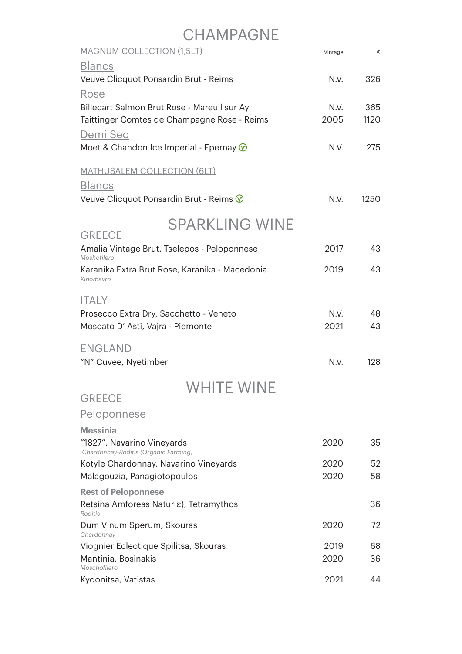### **CHAMPAGNE**

| <b>MAGNUM COLLECTION (1,5LT)</b>                                            | Vintage | €    |
|-----------------------------------------------------------------------------|---------|------|
| <b>Blancs</b>                                                               |         |      |
| Veuve Clicquot Ponsardin Brut - Reims                                       | N.V.    | 326  |
| Rose                                                                        |         |      |
| Billecart Salmon Brut Rose - Mareuil sur Ay                                 | N.V.    | 365  |
| Taittinger Comtes de Champagne Rose - Reims                                 | 2005    | 1120 |
| Demi Sec                                                                    |         |      |
| Moet & Chandon Ice Imperial - Epernay $\circledcirc$                        | N.V.    | 275  |
| <u>MATHUSALEM COLLECTION (6LT)</u>                                          |         |      |
| <b>Blancs</b>                                                               |         |      |
| Veuve Clicquot Ponsardin Brut - Reims V                                     | N.V.    | 1250 |
| <b>SPARKLING WINE</b>                                                       |         |      |
| <b>GREECE</b><br>Amalia Vintage Brut, Tselepos - Peloponnese<br>Moshofilero | 2017    | 43   |
| Karanika Extra Brut Rose, Karanika - Macedonia<br>Xinomavro                 | 2019    | 43   |
| <b>ITALY</b>                                                                |         |      |
| Prosecco Extra Dry, Sacchetto - Veneto                                      | N.V.    | 48   |
| Moscato D' Asti, Vajra - Piemonte                                           | 2021    | 43   |
| <b>ENGLAND</b>                                                              |         |      |
| "N" Cuvee, Nyetimber                                                        | N.V.    | 128  |
| WHITE WINE                                                                  |         |      |
| <b>GREECE</b>                                                               |         |      |
| <u>Peloponnese</u>                                                          |         |      |
| <b>Messinia</b>                                                             |         |      |
| "1827", Navarino Vineyards<br>Chardonnay-Roditis (Organic Farming)          | 2020    | 35   |
| Kotyle Chardonnay, Navarino Vineyards                                       | 2020    | 52   |
| Malagouzia, Panagiotopoulos                                                 | 2020    | 58   |
| <b>Rest of Peloponnese</b>                                                  |         |      |
| Retsina Amforeas Natur ε), Tetramythos<br>Roditis                           |         | 36   |
| Dum Vinum Sperum, Skouras<br>Chardonnay                                     | 2020    | 72   |
| Viognier Eclectique Spilitsa, Skouras                                       | 2019    | 68   |
| Mantinia, Bosinakis<br>Moschofilero                                         | 2020    | 36   |
| Kydonitsa, Vatistas                                                         | 2021    | 44   |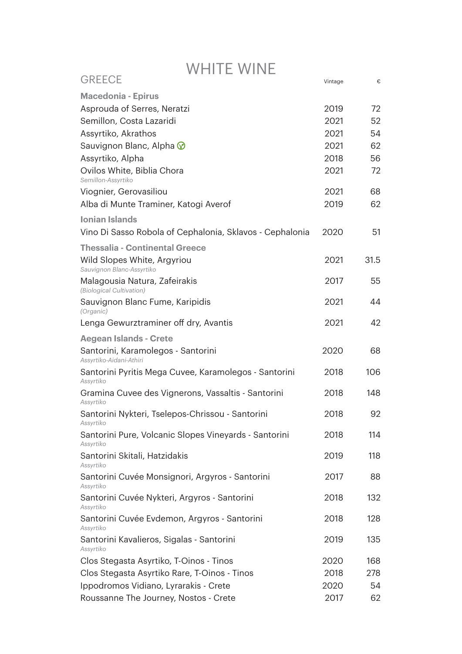| <b>GREECE</b>                                                      | Vintage | €    |
|--------------------------------------------------------------------|---------|------|
| <b>Macedonia - Epirus</b>                                          |         |      |
| Asprouda of Serres, Neratzi                                        | 2019    | 72   |
| Semillon, Costa Lazaridi                                           | 2021    | 52   |
| Assyrtiko, Akrathos                                                | 2021    | 54   |
| Sauvignon Blanc, Alpha $\circledcirc$                              | 2021    | 62   |
| Assyrtiko, Alpha                                                   | 2018    | 56   |
| Ovilos White, Biblia Chora<br>Semillon-Assyrtiko                   | 2021    | 72   |
| Viognier, Gerovasiliou                                             | 2021    | 68   |
| Alba di Munte Traminer, Katogi Averof                              | 2019    | 62   |
| <b>Ionian Islands</b>                                              |         |      |
| Vino Di Sasso Robola of Cephalonia, Sklavos - Cephalonia           | 2020    | 51   |
| <b>Thessalia - Continental Greece</b>                              |         |      |
| Wild Slopes White, Argyriou<br>Sauvignon Blanc-Assyrtiko           | 2021    | 31.5 |
| Malagousia Natura, Zafeirakis<br>(Biological Cultivation)          | 2017    | 55   |
| Sauvignon Blanc Fume, Karipidis<br>(Organic)                       | 2021    | 44   |
| Lenga Gewurztraminer off dry, Avantis                              | 2021    | 42   |
| <b>Aegean Islands - Crete</b>                                      |         |      |
| Santorini, Karamolegos - Santorini<br>Assyrtiko-Aidani-Athiri      | 2020    | 68   |
| Santorini Pyritis Mega Cuvee, Karamolegos - Santorini<br>Assyrtiko | 2018    | 106  |
| Gramina Cuvee des Vignerons, Vassaltis - Santorini<br>Assyrtiko    | 2018    | 148  |
| Santorini Nykteri, Tselepos-Chrissou - Santorini<br>Assyrtiko      | 2018    | 92   |
| Santorini Pure, Volcanic Slopes Vineyards - Santorini<br>Assyrtiko | 2018    | 114  |
| Santorini Skitali, Hatzidakis<br>Assyrtiko                         | 2019    | 118  |
| Santorini Cuvée Monsignori, Argyros - Santorini<br>Assyrtiko       | 2017    | 88   |
| Santorini Cuvée Nykteri, Argyros - Santorini<br>Assyrtiko          | 2018    | 132  |
| Santorini Cuvée Evdemon, Argyros - Santorini<br>Assyrtiko          | 2018    | 128  |
| Santorini Kavalieros, Sigalas - Santorini<br>Assyrtiko             | 2019    | 135  |
| Clos Stegasta Asyrtiko, T-Oinos - Tinos                            | 2020    | 168  |
| Clos Stegasta Asyrtiko Rare, T-Oinos - Tinos                       | 2018    | 278  |
| Ippodromos Vidiano, Lyrarakis - Crete                              | 2020    | 54   |
| Roussanne The Journey, Nostos - Crete                              | 2017    | 62   |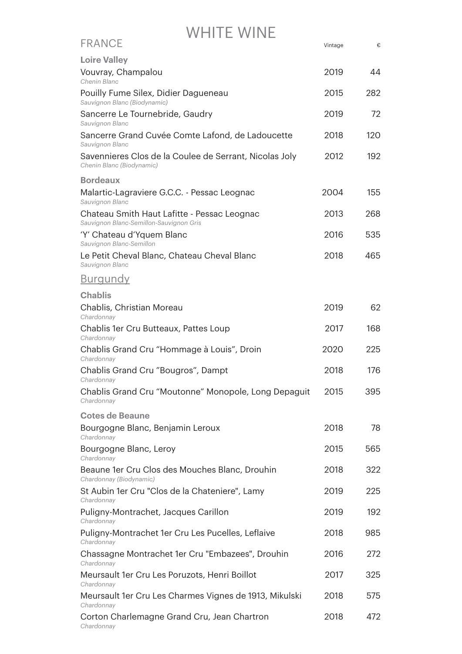| <b>FRANCE</b>                                                                          | Vintage | €   |
|----------------------------------------------------------------------------------------|---------|-----|
| <b>Loire Valley</b>                                                                    |         |     |
| Vouvray, Champalou<br>Chenin Blanc                                                     | 2019    | 44  |
| Pouilly Fume Silex, Didier Dagueneau<br>Sauvignon Blanc (Biodynamic)                   | 2015    | 282 |
| Sancerre Le Tournebride, Gaudry<br>Sauvignon Blanc                                     | 2019    | 72  |
| Sancerre Grand Cuvée Comte Lafond, de Ladoucette<br>Sauvignon Blanc                    | 2018    | 120 |
| Savennieres Clos de la Coulee de Serrant, Nicolas Joly<br>Chenin Blanc (Biodynamic)    | 2012    | 192 |
| <b>Bordeaux</b>                                                                        |         |     |
| Malartic-Lagraviere G.C.C. - Pessac Leognac<br>Sauvignon Blanc                         | 2004    | 155 |
| Chateau Smith Haut Lafitte - Pessac Leognac<br>Sauvignon Blanc-Semillon-Sauvignon Gris | 2013    | 268 |
| 'Y' Chateau d'Yquem Blanc<br>Sauvignon Blanc-Semillon                                  | 2016    | 535 |
| Le Petit Cheval Blanc, Chateau Cheval Blanc<br>Sauvignon Blanc                         | 2018    | 465 |
| <u>Burgundy</u>                                                                        |         |     |
| <b>Chablis</b>                                                                         |         |     |
| Chablis, Christian Moreau<br>Chardonnay                                                | 2019    | 62  |
| Chablis 1er Cru Butteaux, Pattes Loup<br>Chardonnay                                    | 2017    | 168 |
| Chablis Grand Cru "Hommage à Louis", Droin<br>Chardonnay                               | 2020    | 225 |
| Chablis Grand Cru "Bougros", Dampt<br>Chardonnay                                       | 2018    | 176 |
| Chablis Grand Cru "Moutonne" Monopole, Long Depaguit<br>Chardonnay                     | 2015    | 395 |
| <b>Cotes de Beaune</b>                                                                 |         |     |
| Bourgogne Blanc, Benjamin Leroux<br>Chardonnay                                         | 2018    | 78  |
| Bourgogne Blanc, Leroy<br>Chardonnay                                                   | 2015    | 565 |
| Beaune 1er Cru Clos des Mouches Blanc, Drouhin<br>Chardonnay (Biodynamic)              | 2018    | 322 |
| St Aubin 1er Cru "Clos de la Chateniere", Lamy<br>Chardonnay                           | 2019    | 225 |
| Puligny-Montrachet, Jacques Carillon<br>Chardonnay                                     | 2019    | 192 |
| Puligny-Montrachet 1er Cru Les Pucelles, Leflaive<br>Chardonnay                        | 2018    | 985 |
| Chassagne Montrachet 1er Cru "Embazees", Drouhin<br>Chardonnay                         | 2016    | 272 |
| Meursault 1er Cru Les Poruzots, Henri Boillot<br>Chardonnay                            | 2017    | 325 |
| Meursault 1er Cru Les Charmes Vignes de 1913, Mikulski<br>Chardonnay                   | 2018    | 575 |
| Corton Charlemagne Grand Cru, Jean Chartron<br>Chardonnay                              | 2018    | 472 |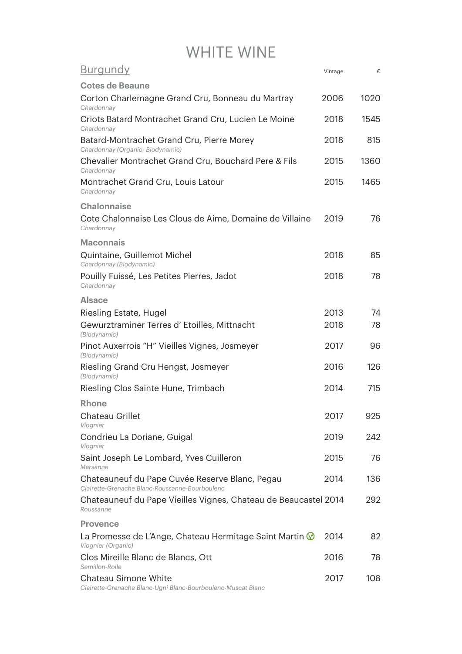| <u>Burgundy</u>                                                                                  | Vintage | €    |
|--------------------------------------------------------------------------------------------------|---------|------|
| <b>Cotes de Beaune</b>                                                                           |         |      |
| Corton Charlemagne Grand Cru, Bonneau du Martray<br>Chardonnay                                   | 2006    | 1020 |
| Criots Batard Montrachet Grand Cru, Lucien Le Moine<br>Chardonnay                                | 2018    | 1545 |
| Batard-Montrachet Grand Cru, Pierre Morey<br>Chardonnay (Organic- Biodynamic)                    | 2018    | 815  |
| Chevalier Montrachet Grand Cru, Bouchard Pere & Fils<br>Chardonnay                               | 2015    | 1360 |
| Montrachet Grand Cru, Louis Latour<br>Chardonnay                                                 | 2015    | 1465 |
| <b>Chalonnaise</b>                                                                               |         |      |
| Cote Chalonnaise Les Clous de Aime, Domaine de Villaine<br>Chardonnay                            | 2019    | 76   |
| <b>Maconnais</b>                                                                                 |         |      |
| Quintaine, Guillemot Michel<br>Chardonnay (Biodynamic)                                           | 2018    | 85   |
| Pouilly Fuissé, Les Petites Pierres, Jadot<br>Chardonnav                                         | 2018    | 78   |
| <b>Alsace</b>                                                                                    |         |      |
| Riesling Estate, Hugel                                                                           | 2013    | 74   |
| Gewurztraminer Terres d'Etoilles, Mittnacht<br>(Biodynamic)                                      | 2018    | 78   |
| Pinot Auxerrois "H" Vieilles Vignes, Josmeyer<br>(Biodynamic)                                    | 2017    | 96   |
| Riesling Grand Cru Hengst, Josmeyer<br>(Biodynamic)                                              | 2016    | 126  |
| Riesling Clos Sainte Hune, Trimbach                                                              | 2014    | 715  |
| Rhone                                                                                            |         |      |
| Chateau Grillet<br>Viognier                                                                      | 2017    | 925  |
| Condrieu La Doriane, Guigal<br>Viognier                                                          | 2019    | 242  |
| Saint Joseph Le Lombard, Yves Cuilleron<br>Marsanne                                              | 2015    | 76   |
| Chateauneuf du Pape Cuvée Reserve Blanc, Pegau<br>Clairette-Grenache Blanc-Roussanne-Bourboulenc | 2014    | 136  |
| Chateauneuf du Pape Vieilles Vignes, Chateau de Beaucastel 2014<br>Roussanne                     |         | 292  |
| <b>Provence</b>                                                                                  |         |      |
| La Promesse de L'Ange, Chateau Hermitage Saint Martin $\circledR$<br>Viognier (Organic)          | 2014    | 82   |
| Clos Mireille Blanc de Blancs, Ott<br>Semillon-Rolle                                             | 2016    | 78   |
| Chateau Simone White<br>Clairette-Grenache Blanc-Ugni Blanc-Bourboulenc-Muscat Blanc             | 2017    | 108  |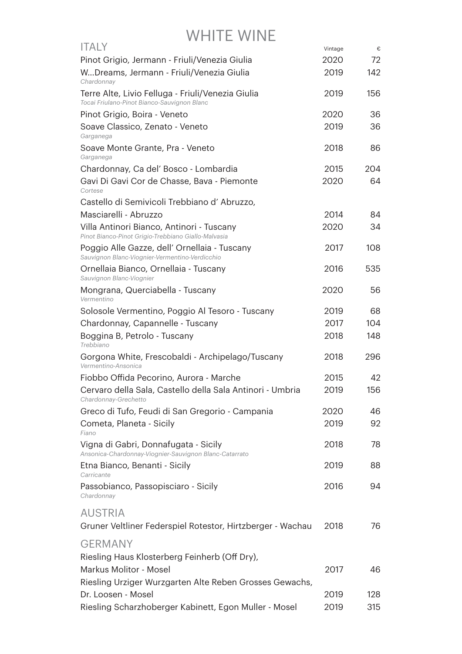| <b>ITALY</b>                                                                                     | Vintage | €   |
|--------------------------------------------------------------------------------------------------|---------|-----|
| Pinot Grigio, Jermann - Friuli/Venezia Giulia                                                    | 2020    | 72  |
| WDreams, Jermann - Friuli/Venezia Giulia<br>Chardonnav                                           | 2019    | 142 |
| Terre Alte, Livio Felluga - Friuli/Venezia Giulia<br>Tocai Friulano-Pinot Bianco-Sauvignon Blanc | 2019    | 156 |
| Pinot Grigio, Boira - Veneto                                                                     | 2020    | 36  |
| Soave Classico, Zenato - Veneto<br>Garganega                                                     | 2019    | 36  |
| Soave Monte Grante, Pra - Veneto<br>Garganega                                                    | 2018    | 86  |
| Chardonnay, Ca del' Bosco - Lombardia                                                            | 2015    | 204 |
| Gavi Di Gavi Cor de Chasse, Bava - Piemonte<br>Cortese                                           | 2020    | 64  |
| Castello di Semivicoli Trebbiano d'Abruzzo,                                                      |         |     |
| Masciarelli - Abruzzo                                                                            | 2014    | 84  |
| Villa Antinori Bianco, Antinori - Tuscany<br>Pinot Bianco-Pinot Grigio-Trebbiano Giallo-Malvasia | 2020    | 34  |
| Poggio Alle Gazze, dell' Ornellaia - Tuscany<br>Sauvignon Blanc-Viognier-Vermentino-Verdicchio   | 2017    | 108 |
| Ornellaia Bianco, Ornellaia - Tuscany<br>Sauvignon Blanc-Viognier                                | 2016    | 535 |
| Mongrana, Querciabella - Tuscany<br>Vermentino                                                   | 2020    | 56  |
| Solosole Vermentino, Poggio Al Tesoro - Tuscany                                                  | 2019    | 68  |
| Chardonnay, Capannelle - Tuscany                                                                 | 2017    | 104 |
| Boggina B, Petrolo - Tuscany<br>Trebbiano                                                        | 2018    | 148 |
| Gorgona White, Frescobaldi - Archipelago/Tuscany<br>Vermentino-Ansonica                          | 2018    | 296 |
| Fiobbo Offida Pecorino, Aurora - Marche                                                          | 2015    | 42  |
| Cervaro della Sala, Castello della Sala Antinori - Umbria<br>Chardonnay-Grechetto                | 2019    | 156 |
| Greco di Tufo, Feudi di San Gregorio - Campania                                                  | 2020    | 46  |
| Cometa, Planeta - Sicily<br>Fiano                                                                | 2019    | 92  |
| Vigna di Gabri, Donnafugata - Sicily<br>Ansonica-Chardonnay-Viognier-Sauvignon Blanc-Catarrato   | 2018    | 78  |
| Etna Bianco, Benanti - Sicily<br>Carricante                                                      | 2019    | 88  |
| Passobianco, Passopisciaro - Sicily<br>Chardonnay                                                | 2016    | 94  |
| <b>AUSTRIA</b>                                                                                   |         |     |
| Gruner Veltliner Federspiel Rotestor, Hirtzberger - Wachau                                       | 2018    | 76  |
| <b>GERMANY</b>                                                                                   |         |     |
| Riesling Haus Klosterberg Feinherb (Off Dry),                                                    |         |     |
| <b>Markus Molitor - Mosel</b>                                                                    | 2017    | 46  |
| Riesling Urziger Wurzgarten Alte Reben Grosses Gewachs,                                          |         |     |
| Dr. Loosen - Mosel                                                                               | 2019    | 128 |
| Riesling Scharzhoberger Kabinett, Egon Muller - Mosel                                            | 2019    | 315 |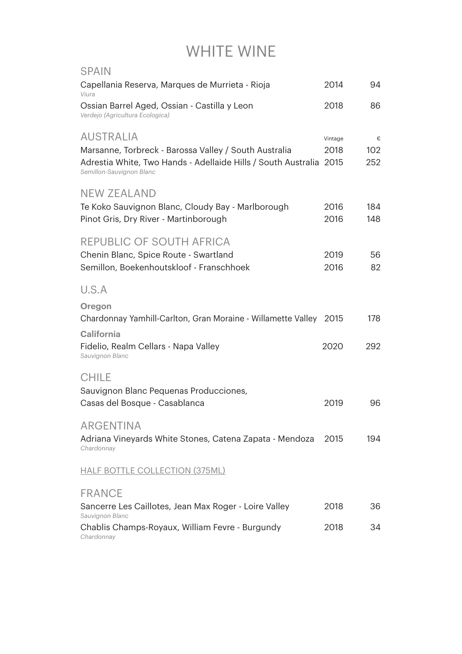| <b>SPAIN</b>                                                                                   |         |     |
|------------------------------------------------------------------------------------------------|---------|-----|
| Capellania Reserva, Marques de Murrieta - Rioja<br>Viura                                       | 2014    | 94  |
| Ossian Barrel Aged, Ossian - Castilla y Leon<br>Verdejo (Agricultura Ecologica)                | 2018    | 86  |
| <b>AUSTRALIA</b>                                                                               | Vintage | €   |
| Marsanne, Torbreck - Barossa Valley / South Australia                                          | 2018    | 102 |
| Adrestia White, Two Hands - Adellaide Hills / South Australia 2015<br>Semillon-Sauvignon Blanc |         | 252 |
| <b>NEW ZEALAND</b>                                                                             |         |     |
| Te Koko Sauvignon Blanc, Cloudy Bay - Marlborough                                              | 2016    | 184 |
| Pinot Gris, Dry River - Martinborough                                                          | 2016    | 148 |
| REPUBLIC OF SOUTH AFRICA                                                                       |         |     |
| Chenin Blanc, Spice Route - Swartland                                                          | 2019    | 56  |
| Semillon, Boekenhoutskloof - Franschhoek                                                       | 2016    | 82  |
| U.S.A                                                                                          |         |     |
| Oregon                                                                                         |         |     |
| Chardonnay Yamhill-Carlton, Gran Moraine - Willamette Valley                                   | 2015    | 178 |
| <b>California</b>                                                                              |         |     |
| Fidelio, Realm Cellars - Napa Valley<br>Sauvignon Blanc                                        | 2020    | 292 |
| <b>CHILE</b>                                                                                   |         |     |
| Sauvignon Blanc Pequenas Producciones,                                                         |         |     |
| Casas del Bosque - Casablanca                                                                  | 2019    | 96  |
| <b>ARGENTINA</b>                                                                               |         |     |
| Adriana Vineyards White Stones, Catena Zapata - Mendoza<br>Chardonnay                          | 2015    | 194 |
| <b>HALF BOTTLE COLLECTION (375ML)</b>                                                          |         |     |
| <b>FRANCE</b>                                                                                  |         |     |
| Sancerre Les Caillotes, Jean Max Roger - Loire Valley<br>Sauvignon Blanc                       | 2018    | 36  |
| Chablis Champs-Royaux, William Fevre - Burgundy                                                | 2018    | 34  |
| Chardonnay                                                                                     |         |     |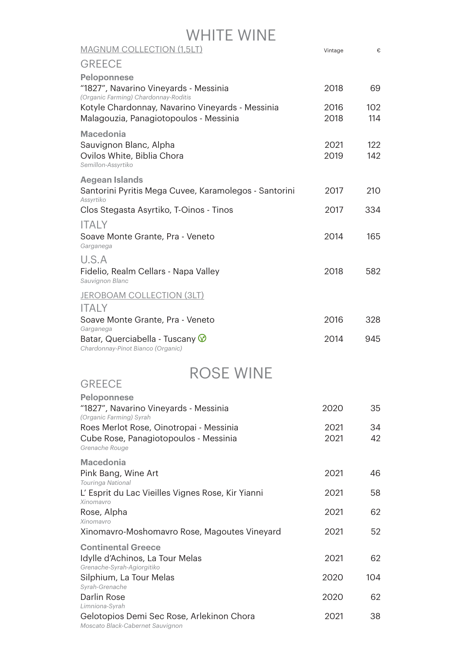| WHITE WINE                                                                                          |              |            |
|-----------------------------------------------------------------------------------------------------|--------------|------------|
| <b>MAGNUM COLLECTION (1,5LT)</b>                                                                    | Vintage      | €          |
| <b>GREECE</b>                                                                                       |              |            |
| <b>Peloponnese</b><br>"1827", Navarino Vineyards - Messinia<br>(Organic Farming) Chardonnay-Roditis | 2018         | 69         |
| Kotyle Chardonnay, Navarino Vineyards - Messinia<br>Malagouzia, Panagiotopoulos - Messinia          | 2016<br>2018 | 102<br>114 |
| <b>Macedonia</b><br>Sauvignon Blanc, Alpha<br>Ovilos White, Biblia Chora<br>Semillon-Assyrtiko      | 2021<br>2019 | 122<br>142 |
| <b>Aegean Islands</b><br>Santorini Pyritis Mega Cuvee, Karamolegos - Santorini<br>Assyrtiko         | 2017         | 210        |
| Clos Stegasta Asyrtiko, T-Oinos - Tinos                                                             | 2017         | 334        |
| <b>ITALY</b>                                                                                        |              |            |
| Soave Monte Grante, Pra - Veneto<br>Garganega                                                       | 2014         | 165        |
| U.S.A<br>Fidelio, Realm Cellars - Napa Valley<br>Sauvignon Blanc                                    | 2018         | 582        |
| <b>JEROBOAM COLLECTION (3LT)</b>                                                                    |              |            |
| ITALY<br>Soave Monte Grante, Pra - Veneto<br>Garganega                                              | 2016         | 328        |
| Batar, Querciabella - Tuscany V<br>Chardonnay-Pinot Bianco (Organic)                                | 2014         | 945        |
| SE WINI                                                                                             |              |            |
| <b>GREECE</b>                                                                                       |              |            |
| <b>Peloponnese</b><br>"1827", Navarino Vineyards - Messinia                                         | 2020         | 35         |
| (Organic Farming) Syrah<br>Roes Merlot Rose, Oinotropai - Messinia                                  | 2021         | 34         |
| Cube Rose, Panagiotopoulos - Messinia<br>Grenache Rouge                                             | 2021         | 42         |
| <b>Macedonia</b><br>Pink Bang, Wine Art                                                             | 2021         | 46         |
| <b>Touringa National</b><br>L' Esprit du Lac Vieilles Vignes Rose, Kir Yianni                       | 2021         | 58         |
| Xinomavro<br>Rose, Alpha                                                                            | 2021         | 62         |
| Xinomavro                                                                                           |              | 52         |
| Xinomavro-Moshomavro Rose, Magoutes Vineyard                                                        | 2021         |            |
| <b>Continental Greece</b><br>Idylle d'Achinos, La Tour Melas<br>Grenache-Syrah-Agiorgitiko          | 2021         | 62         |
| Silphium, La Tour Melas                                                                             | 2020         | 104        |
| Syrah-Grenache<br>Darlin Rose<br>Limniona-Syrah                                                     | 2020         | 62         |
| Gelotopios Demi Sec Rose, Arlekinon Chora                                                           | 2021         | 38         |

*Moscato Black-Cabernet Sauvignon*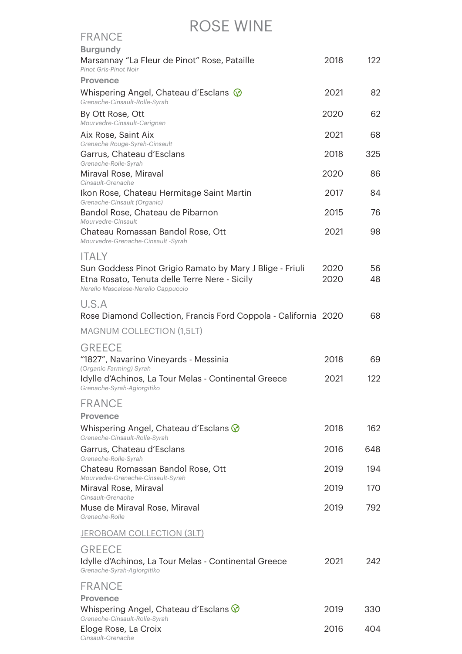#### RoSe Wine

| <b>FRANCE</b>                                                                                                                                    |              |          |
|--------------------------------------------------------------------------------------------------------------------------------------------------|--------------|----------|
| <b>Burgundy</b><br>Marsannay "La Fleur de Pinot" Rose, Pataille<br>Pinot Gris-Pinot Noir                                                         | 2018         | 122      |
| <b>Provence</b>                                                                                                                                  |              |          |
| Whispering Angel, Chateau d'Esclans $\circledR$<br>Grenache-Cinsault-Rolle-Syrah                                                                 | 2021         | 82       |
| By Ott Rose, Ott<br>Mourvedre-Cinsault-Carignan                                                                                                  | 2020         | 62       |
| Aix Rose, Saint Aix<br>Grenache Rouge-Syrah-Cinsault                                                                                             | 2021         | 68       |
| Garrus, Chateau d'Esclans<br>Grenache-Rolle-Syrah                                                                                                | 2018         | 325      |
| Miraval Rose, Miraval<br>Cinsault-Grenache                                                                                                       | 2020         | 86       |
| Ikon Rose, Chateau Hermitage Saint Martin<br>Grenache-Cinsault (Organic)                                                                         | 2017         | 84       |
| Bandol Rose, Chateau de Pibarnon<br>Mourvedre-Cinsault                                                                                           | 2015         | 76       |
| Chateau Romassan Bandol Rose, Ott<br>Mourvedre-Grenache-Cinsault -Syrah                                                                          | 2021         | 98       |
| <b>ITALY</b>                                                                                                                                     |              |          |
| Sun Goddess Pinot Grigio Ramato by Mary J Blige - Friuli<br>Etna Rosato, Tenuta delle Terre Nere - Sicily<br>Nerello Mascalese-Nerello Cappuccio | 2020<br>2020 | 56<br>48 |
| U.S.A<br>Rose Diamond Collection, Francis Ford Coppola - California 2020                                                                         |              | 68       |
| <b>MAGNUM COLLECTION (1,5LT)</b>                                                                                                                 |              |          |
| <b>GREECE</b><br>"1827", Navarino Vineyards - Messinia                                                                                           | 2018         | 69       |
| (Organic Farming) Syrah<br>Idylle d'Achinos, La Tour Melas - Continental Greece<br>Grenache-Syrah-Agiorgitiko                                    | 2021         | 122      |
| <b>FRANCE</b>                                                                                                                                    |              |          |
| <b>Provence</b>                                                                                                                                  |              |          |
| Whispering Angel, Chateau d'Esclans $\circledcirc$<br>Grenache-Cinsault-Rolle-Syrah                                                              | 2018         | 162      |
| Garrus, Chateau d'Esclans<br>Grenache-Rolle-Syrah                                                                                                | 2016         | 648      |
| Chateau Romassan Bandol Rose, Ott<br>Mourvedre-Grenache-Cinsault-Syrah                                                                           | 2019         | 194      |
| Miraval Rose, Miraval<br>Cinsault-Grenache                                                                                                       | 2019         | 170      |
| Muse de Miraval Rose, Miraval<br>Grenache-Rolle                                                                                                  | 2019         | 792      |
| <u>JEROBOAM COLLECTION (3LT)</u>                                                                                                                 |              |          |
| <b>GREECE</b><br>Idylle d'Achinos, La Tour Melas - Continental Greece<br>Grenache-Syrah-Agiorgitiko                                              | 2021         | 242      |
| <b>FRANCE</b>                                                                                                                                    |              |          |
| <b>Provence</b><br>Whispering Angel, Chateau d'Esclans $\circledcirc$                                                                            | 2019         | 330      |
| Grenache-Cinsault-Rolle-Syrah<br>Eloge Rose, La Croix<br>Cinsault-Grenache                                                                       | 2016         | 404      |
|                                                                                                                                                  |              |          |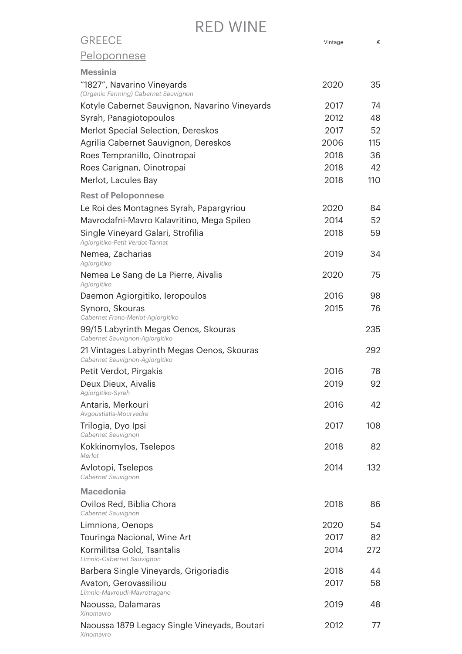| <b>GREECE</b>                                                                                               | Vintage | €   |
|-------------------------------------------------------------------------------------------------------------|---------|-----|
| Peloponnese                                                                                                 |         |     |
| <b>Messinia</b>                                                                                             |         |     |
| "1827", Navarino Vineyards<br>(Organic Farming) Cabernet Sauvignon                                          | 2020    | 35  |
| Kotyle Cabernet Sauvignon, Navarino Vineyards                                                               | 2017    | 74  |
| Syrah, Panagiotopoulos                                                                                      | 2012    | 48  |
| Merlot Special Selection, Dereskos                                                                          | 2017    | 52  |
| Agrilia Cabernet Sauvignon, Dereskos                                                                        | 2006    | 115 |
| Roes Tempranillo, Oinotropai                                                                                | 2018    | 36  |
| Roes Carignan, Oinotropai                                                                                   | 2018    | 42  |
| Merlot, Lacules Bay                                                                                         | 2018    | 110 |
| <b>Rest of Peloponnese</b>                                                                                  |         |     |
| Le Roi des Montagnes Syrah, Papargyriou                                                                     | 2020    | 84  |
| Mavrodafni-Mavro Kalavritino, Mega Spileo                                                                   | 2014    | 52  |
| Single Vineyard Galari, Strofilia<br>Agiorgitiko-Petit Verdot-Tannat                                        | 2018    | 59  |
| Nemea, Zacharias<br>Agiorgitiko                                                                             | 2019    | 34  |
| Nemea Le Sang de La Pierre, Aivalis<br>Agiorgitiko                                                          | 2020    | 75  |
| Daemon Agiorgitiko, Ieropoulos                                                                              | 2016    | 98  |
| Synoro, Skouras                                                                                             | 2015    | 76  |
| Cabernet Franc-Merlot-Agiorgitiko<br>99/15 Labyrinth Megas Oenos, Skouras<br>Cabernet Sauvignon-Agiorgitiko |         | 235 |
| 21 Vintages Labyrinth Megas Oenos, Skouras<br>Cabernet Sauvignon-Agiorgitiko                                |         | 292 |
| Petit Verdot, Pirgakis                                                                                      | 2016    | 78  |
| Deux Dieux, Aivalis                                                                                         | 2019    | 92  |
| Agiorgitiko-Syrah                                                                                           |         |     |
| Antaris, Merkouri<br>Avgoustiatis-Mourvedre                                                                 | 2016    | 42  |
| Trilogia, Dyo Ipsi<br>Cabernet Sauvignon                                                                    | 2017    | 108 |
| Kokkinomylos, Tselepos<br>Merlot                                                                            | 2018    | 82  |
| Avlotopi, Tselepos<br>Cabernet Sauvignon                                                                    | 2014    | 132 |
| <b>Macedonia</b>                                                                                            |         |     |
| Ovilos Red, Biblia Chora<br>Cabernet Sauvignon                                                              | 2018    | 86  |
| Limniona, Oenops                                                                                            | 2020    | 54  |
| Touringa Nacional, Wine Art                                                                                 | 2017    | 82  |
| Kormilitsa Gold, Tsantalis<br>Limnio-Cabernet Sauvignon                                                     | 2014    | 272 |
| Barbera Single Vineyards, Grigoriadis                                                                       | 2018    | 44  |
| Avaton, Gerovassiliou<br>Limnio-Mavroudi-Mavrotragano                                                       | 2017    | 58  |
| Naoussa, Dalamaras<br>Xinomavro                                                                             | 2019    | 48  |
| Naoussa 1879 Legacy Single Vineyads, Boutari<br>Xinomavro                                                   | 2012    | 77  |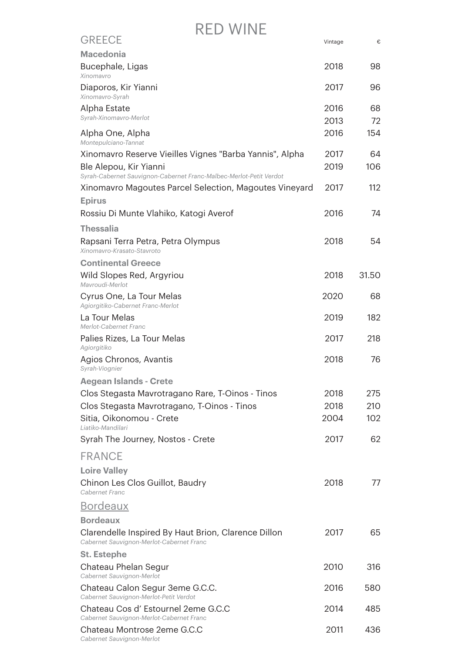| <b>GREECE</b>                                                                                   | Vintage      | €        |
|-------------------------------------------------------------------------------------------------|--------------|----------|
| <b>Macedonia</b>                                                                                |              |          |
| Bucephale, Ligas<br>Xinomavro                                                                   | 2018         | 98       |
| Diaporos, Kir Yianni<br>Xinomavro-Syrah                                                         | 2017         | 96       |
| Alpha Estate<br>Syrah-Xinomavro-Merlot                                                          | 2016<br>2013 | 68<br>72 |
| Alpha One, Alpha<br>Montepulciano-Tannat                                                        | 2016         | 154      |
| Xinomavro Reserve Vieilles Vignes "Barba Yannis", Alpha                                         | 2017         | 64       |
| Ble Alepou, Kir Yianni<br>Syrah-Cabernet Sauvignon-Cabernet Franc-Malbec-Merlot-Petit Verdot    | 2019         | 106      |
| Xinomavro Magoutes Parcel Selection, Magoutes Vineyard                                          | 2017         | 112      |
| <b>Epirus</b>                                                                                   |              |          |
| Rossiu Di Munte Vlahiko, Katogi Averof                                                          | 2016         | 74       |
| <b>Thessalia</b>                                                                                |              |          |
| Rapsani Terra Petra, Petra Olympus<br>Xinomavro-Krasato-Stavroto                                | 2018         | 54       |
| <b>Continental Greece</b>                                                                       |              |          |
| Wild Slopes Red, Argyriou<br>Mavroudi-Merlot                                                    | 2018         | 31.50    |
| Cyrus One, La Tour Melas<br>Agiorgitiko-Cabernet Franc-Merlot                                   | 2020         | 68       |
| La Tour Melas<br>Merlot-Cabernet Franc                                                          | 2019         | 182      |
| Palies Rizes, La Tour Melas<br>Agiorgitiko                                                      | 2017         | 218      |
| Agios Chronos, Avantis<br>Syrah-Viognier                                                        | 2018         | 76       |
| <b>Aegean Islands - Crete</b>                                                                   |              |          |
| Clos Stegasta Mavrotragano Rare, T-Oinos - Tinos                                                | 2018         | 275      |
| Clos Stegasta Mavrotragano, T-Oinos - Tinos                                                     | 2018         | 210      |
| Sitia, Oikonomou - Crete<br>Liatiko-Mandilari                                                   | 2004         | 102      |
| Syrah The Journey, Nostos - Crete                                                               | 2017         | 62       |
| <b>FRANCE</b>                                                                                   |              |          |
| <b>Loire Valley</b>                                                                             |              |          |
| Chinon Les Clos Guillot, Baudry<br>Cabernet Franc                                               | 2018         | 77       |
| <b>Bordeaux</b>                                                                                 |              |          |
| <b>Bordeaux</b>                                                                                 |              |          |
| Clarendelle Inspired By Haut Brion, Clarence Dillon<br>Cabernet Sauvignon-Merlot-Cabernet Franc | 2017         | 65       |
| <b>St. Estephe</b>                                                                              |              |          |
| Chateau Phelan Segur<br>Cabernet Sauvignon-Merlot                                               | 2010         | 316      |
| Chateau Calon Segur 3eme G.C.C.<br>Cabernet Sauvignon-Merlot-Petit Verdot                       | 2016         | 580      |
| Chateau Cos d'Estournel 2eme G.C.C<br>Cabernet Sauvignon-Merlot-Cabernet Franc                  | 2014         | 485      |
| Chateau Montrose 2eme G.C.C<br>Cabernet Sauvignon-Merlot                                        | 2011         | 436      |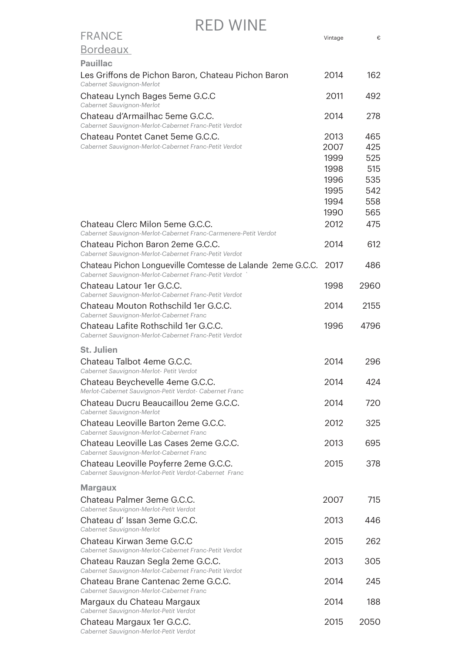| <b>FRANCE</b>                                                                                                       | Vintage                                      | €                                      |
|---------------------------------------------------------------------------------------------------------------------|----------------------------------------------|----------------------------------------|
| Bordeaux                                                                                                            |                                              |                                        |
| <b>Pauillac</b>                                                                                                     |                                              |                                        |
| Les Griffons de Pichon Baron, Chateau Pichon Baron<br>Cabernet Sauvignon-Merlot                                     | 2014                                         | 162                                    |
| Chateau Lynch Bages 5eme G.C.C<br>Cabernet Sauvignon-Merlot                                                         | 2011                                         | 492                                    |
| Chateau d'Armailhac 5eme G.C.C.<br>Cabernet Sauvignon-Merlot-Cabernet Franc-Petit Verdot                            | 2014                                         | 278                                    |
| Chateau Pontet Canet 5eme G.C.C.<br>Cabernet Sauvignon-Merlot-Cabernet Franc-Petit Verdot                           | 2013<br>2007<br>1999<br>1998<br>1996<br>1995 | 465<br>425<br>525<br>515<br>535<br>542 |
|                                                                                                                     | 1994<br>1990                                 | 558<br>565                             |
| Chateau Clerc Milon 5eme G.C.C.<br>Cabernet Sauvignon-Merlot-Cabernet Franc-Carmenere-Petit Verdot                  | 2012                                         | 475                                    |
| Chateau Pichon Baron 2eme G.C.C.<br>Cabernet Sauvignon-Merlot-Cabernet Franc-Petit Verdot                           | 2014                                         | 612                                    |
| Chateau Pichon Longueville Comtesse de Lalande 2eme G.C.C.<br>Cabernet Sauvignon-Merlot-Cabernet Franc-Petit Verdot | 2017                                         | 486                                    |
| Chateau Latour 1er G.C.C.<br>Cabernet Sauvignon-Merlot-Cabernet Franc-Petit Verdot                                  | 1998                                         | 2960                                   |
| Chateau Mouton Rothschild 1er G.C.C.<br>Cabernet Sauvignon-Merlot-Cabernet Franc                                    | 2014                                         | 2155                                   |
| Chateau Lafite Rothschild 1er G.C.C.<br>Cabernet Sauvignon-Merlot-Cabernet Franc-Petit Verdot                       | 1996                                         | 4796                                   |
| <b>St. Julien</b>                                                                                                   |                                              |                                        |
| Chateau Talbot 4eme G.C.C.<br>Cabernet Sauvignon-Merlot- Petit Verdot                                               | 2014                                         | 296                                    |
| Chateau Beychevelle 4eme G.C.C.<br>Merlot-Cabernet Sauvignon-Petit Verdot- Cabernet Franc                           | 2014                                         | 424                                    |
| Chateau Ducru Beaucaillou 2eme G.C.C.<br>Cabernet Sauvignon-Merlot                                                  | 2014                                         | 720                                    |
| Chateau Leoville Barton 2eme G.C.C.<br>Cabernet Sauvignon-Merlot-Cabernet Franc                                     | 2012                                         | 325                                    |
| Chateau Leoville Las Cases 2eme G.C.C.<br>Cabernet Sauvignon-Merlot-Cabernet Franc                                  | 2013                                         | 695                                    |
| Chateau Leoville Poyferre 2eme G.C.C.<br>Cabernet Sauvignon-Merlot-Petit Verdot-Cabernet Franc                      | 2015                                         | 378                                    |
| <b>Margaux</b>                                                                                                      |                                              |                                        |
| Chateau Palmer 3eme G.C.C.<br>Cabernet Sauvignon-Merlot-Petit Verdot                                                | 2007                                         | 715                                    |
| Chateau d'Issan 3eme G.C.C.<br>Cabernet Sauvignon-Merlot                                                            | 2013                                         | 446                                    |
| Chateau Kirwan 3eme G.C.C<br>Cabernet Sauvignon-Merlot-Cabernet Franc-Petit Verdot                                  | 2015                                         | 262                                    |
| Chateau Rauzan Segla 2eme G.C.C.<br>Cabernet Sauvignon-Merlot-Cabernet Franc-Petit Verdot                           | 2013                                         | 305                                    |
| Chateau Brane Cantenac 2eme G.C.C.<br>Cabernet Sauvignon-Merlot-Cabernet Franc                                      | 2014                                         | 245                                    |
| Margaux du Chateau Margaux<br>Cabernet Sauvignon-Merlot-Petit Verdot                                                | 2014                                         | 188                                    |
| Chateau Margaux 1er G.C.C.                                                                                          | 2015                                         | 2050                                   |

*Cabernet Sauvignon-Merlot-Petit Verdot*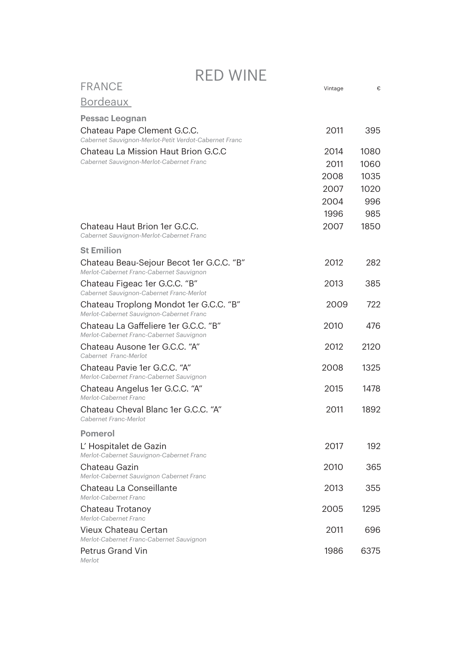|                                                                                      | RED WHVE |         |      |  |
|--------------------------------------------------------------------------------------|----------|---------|------|--|
| <b>FRANCE</b>                                                                        |          | Vintage | €    |  |
| <b>Bordeaux</b>                                                                      |          |         |      |  |
| <b>Pessac Leognan</b>                                                                |          |         |      |  |
| Chateau Pape Clement G.C.C.<br>Cabernet Sauvignon-Merlot-Petit Verdot-Cabernet Franc |          | 2011    | 395  |  |
| Chateau La Mission Haut Brion G.C.C                                                  |          | 2014    | 1080 |  |
| Cabernet Sauvignon-Merlot-Cabernet Franc                                             |          | 2011    | 1060 |  |
|                                                                                      |          | 2008    | 1035 |  |
|                                                                                      |          | 2007    | 1020 |  |
|                                                                                      |          | 2004    | 996  |  |
|                                                                                      |          | 1996    | 985  |  |
| Chateau Haut Brion 1er G.C.C.<br>Cabernet Sauvignon-Merlot-Cabernet Franc            |          | 2007    | 1850 |  |
| <b>St Emilion</b>                                                                    |          |         |      |  |
| Chateau Beau-Sejour Becot 1er G.C.C. "B"<br>Merlot-Cabernet Franc-Cabernet Sauvignon |          | 2012    | 282  |  |
| Chateau Figeac 1er G.C.C. "B"<br>Cabernet Sauvignon-Cabernet Franc-Merlot            |          | 2013    | 385  |  |
| Chateau Troplong Mondot 1er G.C.C. "B"<br>Merlot-Cabernet Sauvignon-Cabernet Franc   |          | 2009    | 722  |  |
| Chateau La Gaffeliere 1er G.C.C. "B"<br>Merlot-Cabernet Franc-Cabernet Sauvignon     |          | 2010    | 476  |  |
| Chateau Ausone 1er G.C.C. "A"<br>Cabernet Franc-Merlot                               |          | 2012    | 2120 |  |
| Chateau Pavie 1er G.C.C. "A"<br>Merlot-Cabernet Franc-Cabernet Sauvignon             |          | 2008    | 1325 |  |
| Chateau Angelus 1er G.C.C. "A"<br>Merlot-Cabernet Franc                              |          | 2015    | 1478 |  |
| Chateau Cheval Blanc 1er G.C.C. "A"<br>Cabernet Franc-Merlot                         |          | 2011    | 1892 |  |
| <b>Pomerol</b>                                                                       |          |         |      |  |
| L' Hospitalet de Gazin<br>Merlot-Cabernet Sauvignon-Cabernet Franc                   |          | 2017    | 192  |  |
| Chateau Gazin<br>Merlot-Cabernet Sauvignon Cabernet Franc                            |          | 2010    | 365  |  |
| Chateau La Conseillante<br>Merlot-Cabernet Franc                                     |          | 2013    | 355  |  |
| Chateau Trotanoy<br>Merlot-Cabernet Franc                                            |          | 2005    | 1295 |  |
| Vieux Chateau Certan<br>Merlot-Cabernet Franc-Cabernet Sauvignon                     |          | 2011    | 696  |  |
| <b>Petrus Grand Vin</b><br>Merlot                                                    |          | 1986    | 6375 |  |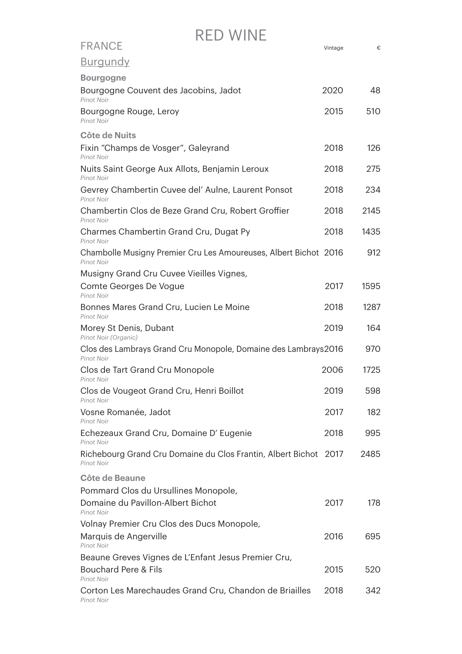| <b>FRANCE</b>                                                                         | Vintage | €    |
|---------------------------------------------------------------------------------------|---------|------|
| <u>Burgundy</u>                                                                       |         |      |
| <b>Bourgogne</b>                                                                      |         |      |
| Bourgogne Couvent des Jacobins, Jadot<br>Pinot Noir                                   | 2020    | 48   |
| Bourgogne Rouge, Leroy<br><b>Pinot Noir</b>                                           | 2015    | 510  |
| Côte de Nuits                                                                         |         |      |
| Fixin "Champs de Vosger", Galeyrand<br><b>Pinot Noir</b>                              | 2018    | 126  |
| Nuits Saint George Aux Allots, Benjamin Leroux<br>Pinot Noir                          | 2018    | 275  |
| Gevrey Chambertin Cuvee del' Aulne, Laurent Ponsot<br><b>Pinot Noir</b>               | 2018    | 234  |
| Chambertin Clos de Beze Grand Cru, Robert Groffier<br>Pinot Noir                      | 2018    | 2145 |
| Charmes Chambertin Grand Cru, Dugat Py<br><b>Pinot Noir</b>                           | 2018    | 1435 |
| Chambolle Musigny Premier Cru Les Amoureuses, Albert Bichot 2016<br><b>Pinot Noir</b> |         | 912  |
| Musigny Grand Cru Cuvee Vieilles Vignes,                                              |         |      |
| Comte Georges De Vogue<br>Pinot Noir                                                  | 2017    | 1595 |
| Bonnes Mares Grand Cru, Lucien Le Moine<br><b>Pinot Noir</b>                          | 2018    | 1287 |
| Morey St Denis, Dubant<br>Pinot Noir (Organic)                                        | 2019    | 164  |
| Clos des Lambrays Grand Cru Monopole, Domaine des Lambrays2016<br><b>Pinot Noir</b>   |         | 970  |
| Clos de Tart Grand Cru Monopole<br><b>Pinot Noir</b>                                  | 2006    | 1725 |
| Clos de Vougeot Grand Cru, Henri Boillot<br>Pinot Noir                                | 2019    | 598  |
| Vosne Romanée, Jadot<br>Pinot Noir                                                    | 2017    | 182  |
| Echezeaux Grand Cru, Domaine D' Eugenie<br><b>Pinot Noir</b>                          | 2018    | 995  |
| Richebourg Grand Cru Domaine du Clos Frantin, Albert Bichot 2017<br>Pinot Noir        |         | 2485 |
| Côte de Beaune                                                                        |         |      |
| Pommard Clos du Ursullines Monopole,                                                  |         |      |
| Domaine du Pavillon-Albert Bichot<br><b>Pinot Noir</b>                                | 2017    | 178  |
| Volnay Premier Cru Clos des Ducs Monopole,                                            |         |      |
| Marquis de Angerville<br>Pinot Noir                                                   | 2016    | 695  |
| Beaune Greves Vignes de L'Enfant Jesus Premier Cru,                                   |         |      |
| Bouchard Pere & Fils<br><b>Pinot Noir</b>                                             | 2015    | 520  |
| Corton Les Marechaudes Grand Cru, Chandon de Briailles                                | 2018    | 342  |

*Pinot Noir*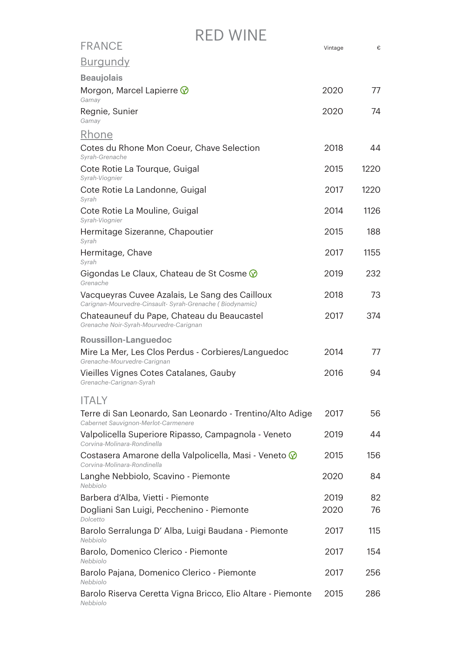| RED WINE                                                                                                   |         |      |  |
|------------------------------------------------------------------------------------------------------------|---------|------|--|
| <b>FRANCE</b>                                                                                              | Vintage | €    |  |
| <u>Burgundy</u>                                                                                            |         |      |  |
| <b>Beaujolais</b>                                                                                          |         |      |  |
| Morgon, Marcel Lapierre $\circledR$<br>Gamay                                                               | 2020    | 77   |  |
| Regnie, Sunier<br>Gamav                                                                                    | 2020    | 74   |  |
| <u>Rhone</u>                                                                                               |         |      |  |
| Cotes du Rhone Mon Coeur, Chave Selection<br>Syrah-Grenache                                                | 2018    | 44   |  |
| Cote Rotie La Tourque, Guigal<br>Syrah-Viognier                                                            | 2015    | 1220 |  |
| Cote Rotie La Landonne, Guigal<br>Syrah                                                                    | 2017    | 1220 |  |
| Cote Rotie La Mouline, Guigal<br>Syrah-Viognier                                                            | 2014    | 1126 |  |
| Hermitage Sizeranne, Chapoutier<br>Syrah                                                                   | 2015    | 188  |  |
| Hermitage, Chave<br>Syrah                                                                                  | 2017    | 1155 |  |
| Gigondas Le Claux, Chateau de St Cosme $\circledcirc$<br>Grenache                                          | 2019    | 232  |  |
| Vacqueyras Cuvee Azalais, Le Sang des Cailloux<br>Carignan-Mourvedre-Cinsault- Syrah-Grenache (Biodynamic) | 2018    | 73   |  |
| Chateauneuf du Pape, Chateau du Beaucastel<br>Grenache Noir-Syrah-Mourvedre-Carignan                       | 2017    | 374  |  |
| <b>Roussillon-Languedoc</b>                                                                                |         |      |  |
| Mire La Mer, Les Clos Perdus - Corbieres/Languedoc<br>Grenache-Mourvedre-Carignan                          | 2014    | 77   |  |
| Vieilles Vignes Cotes Catalanes, Gauby<br>Grenache-Carignan-Syrah                                          | 2016    | 94   |  |
| <b>ITALY</b>                                                                                               |         |      |  |
| Terre di San Leonardo, San Leonardo - Trentino/Alto Adige<br>Cabernet Sauvignon-Merlot-Carmenere           | 2017    | 56   |  |
| Valpolicella Superiore Ripasso, Campagnola - Veneto<br>Corvina-Molinara-Rondinella                         | 2019    | 44   |  |
| Costasera Amarone della Valpolicella, Masi - Veneto V<br>Corvina-Molinara-Rondinella                       | 2015    | 156  |  |
| Langhe Nebbiolo, Scavino - Piemonte<br>Nebbiolo                                                            | 2020    | 84   |  |
| Barbera d'Alba, Vietti - Piemonte                                                                          | 2019    | 82   |  |
| Dogliani San Luigi, Pecchenino - Piemonte<br>Dolcetto                                                      | 2020    | 76   |  |
| Barolo Serralunga D' Alba, Luigi Baudana - Piemonte<br>Nebbiolo                                            | 2017    | 115  |  |
| Barolo, Domenico Clerico - Piemonte<br>Nebbiolo                                                            | 2017    | 154  |  |
| Barolo Pajana, Domenico Clerico - Piemonte<br>Nebbiolo                                                     | 2017    | 256  |  |
| Barolo Riserva Ceretta Vigna Bricco, Elio Altare - Piemonte<br>Nebbiolo                                    | 2015    | 286  |  |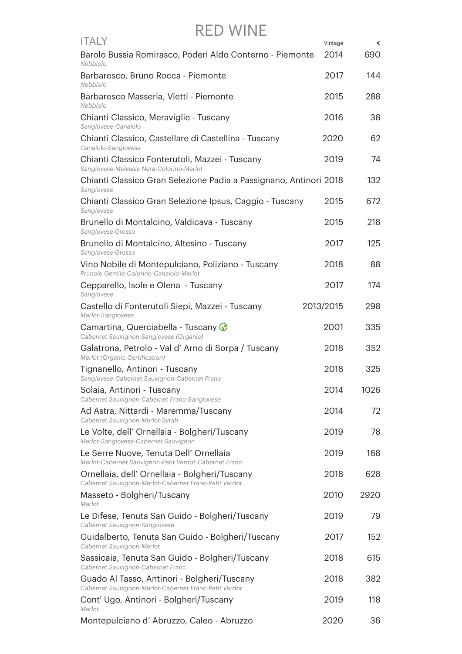| <b>ITALY</b>                                                                                           | Vintage   | €    |
|--------------------------------------------------------------------------------------------------------|-----------|------|
| Barolo Bussia Romirasco, Poderi Aldo Conterno - Piemonte<br>Nebbiolo                                   | 2014      | 690  |
| Barbaresco, Bruno Rocca - Piemonte<br>Nebbiolo                                                         | 2017      | 144  |
| Barbaresco Masseria, Vietti - Piemonte<br>Nebbiolo                                                     | 2015      | 288  |
| Chianti Classico, Meraviglie - Tuscany<br>Sangiovese-Canaiolo                                          | 2016      | 38   |
| Chianti Classico, Castellare di Castellina - Tuscany<br>Canaiolo-Sangiovese                            | 2020      | 62   |
| Chianti Classico Fonterutoli, Mazzei - Tuscany<br>Sangiovese-Malvasia Nera-Colorino-Merlot             | 2019      | 74   |
| Chianti Classico Gran Selezione Padia a Passignano, Antinori 2018<br>Sangiovese                        |           | 132  |
| Chianti Classico Gran Selezione Ipsus, Caggio - Tuscany<br>Sangiovese                                  | 2015      | 672  |
| Brunello di Montalcino, Valdicava - Tuscany<br>Sangiovese Grosso                                       | 2015      | 218  |
| Brunello di Montalcino, Altesino - Tuscany<br>Sangiovese Grosso                                        | 2017      | 125  |
| Vino Nobile di Montepulciano, Poliziano - Tuscany<br>Prunolo Gentile-Colorino-Canaiolo-Merlot          | 2018      | 88   |
| Cepparello, Isole e Olena - Tuscany<br>Sangiovese                                                      | 2017      | 174  |
| Castello di Fonterutoli Siepi, Mazzei - Tuscany<br>Merlot-Sangiovese                                   | 2013/2015 | 298  |
| Camartina, Querciabella - Tuscany $\circledcirc$<br>Cabernet Sauvignon-Sangiovese (Organic)            | 2001      | 335  |
| Galatrona, Petrolo - Val d'Arno di Sorpa / Tuscany<br>Merlot (Organic Certification)                   | 2018      | 352  |
| Tignanello, Antinori - Tuscany<br>Sangiovese-Cabernet Sauvignon-Cabernet Franc                         | 2018      | 325  |
| Solaia, Antinori - Tuscany<br>Cabernet Sauvignon-Cabernet Franc-Sangiovese                             | 2014      | 1026 |
| Ad Astra, Nittardi - Maremma/Tuscany<br>Cabernet Sauvignon-Merlot-Syrah                                | 2014      | 72   |
| Le Volte, dell' Ornellaia - Bolgheri/Tuscany<br>Merlot-Sangiovese-Cabernet Sauvignon                   | 2019      | 78   |
| Le Serre Nuove, Tenuta Dell' Ornellaia<br>Merlot-Cabernet Sauvignon-Petit Verdot-Cabernet Franc        | 2019      | 168  |
| Ornellaia, dell' Ornellaia - Bolgheri/Tuscany<br>Cabernet Sauvignon-Merlot-Cabernet Franc-Petit Verdot | 2018      | 628  |
| Masseto - Bolgheri/Tuscany<br>Merlot                                                                   | 2010      | 2920 |
| Le Difese, Tenuta San Guido - Bolgheri/Tuscany<br>Cabernet Sauvignon-Sangiovese                        | 2019      | 79   |
| Guidalberto, Tenuta San Guido - Bolgheri/Tuscany<br>Cabernet Sauvignon-Merlot                          | 2017      | 152  |
| Sassicaia, Tenuta San Guido - Bolgheri/Tuscany<br>Cabernet Sauvignon-Cabernet Franc                    | 2018      | 615  |
| Guado Al Tasso, Antinori - Bolgheri/Tuscany<br>Cabernet Sauvignon-Merlot-Cabernet Franc-Petit Verdot   | 2018      | 382  |
| Cont' Ugo, Antinori - Bolgheri/Tuscany<br>Merlot                                                       | 2019      | 118  |
| Montepulciano d'Abruzzo, Caleo - Abruzzo                                                               | 2020      | 36   |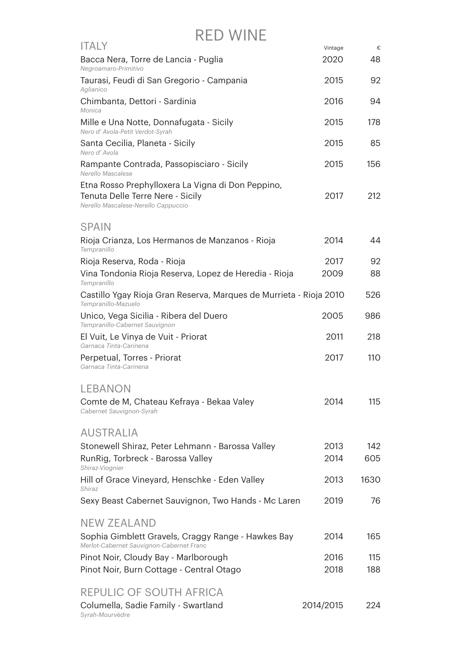| <b>ITALY</b>                                                                                                                 | Vintage   | €    |
|------------------------------------------------------------------------------------------------------------------------------|-----------|------|
| Bacca Nera, Torre de Lancia - Puglia<br>Negroamaro-Primitivo                                                                 | 2020      | 48   |
| Taurasi, Feudi di San Gregorio - Campania<br>Aglianico                                                                       | 2015      | 92   |
| Chimbanta, Dettori - Sardinia<br>Monica                                                                                      | 2016      | 94   |
| Mille e Una Notte, Donnafugata - Sicily<br>Nero d' Avola-Petit Verdot-Syrah                                                  | 2015      | 178  |
| Santa Cecilia, Planeta - Sicily<br>Nero d'Avola                                                                              | 2015      | 85   |
| Rampante Contrada, Passopisciaro - Sicily<br>Nerello Mascalese                                                               | 2015      | 156  |
| Etna Rosso Prephylloxera La Vigna di Don Peppino,<br>Tenuta Delle Terre Nere - Sicily<br>Nerello Mascalese-Nerello Cappuccio | 2017      | 212  |
| <b>SPAIN</b>                                                                                                                 |           |      |
| Rioja Crianza, Los Hermanos de Manzanos - Rioja<br>Tempranillo                                                               | 2014      | 44   |
| Rioja Reserva, Roda - Rioja                                                                                                  | 2017      | 92   |
| Vina Tondonia Rioja Reserva, Lopez de Heredia - Rioja<br>Tempranillo                                                         | 2009      | 88   |
| Castillo Ygay Rioja Gran Reserva, Marques de Murrieta - Rioja 2010<br>Tempranillo-Mazuelo                                    |           | 526  |
| Unico, Vega Sicilia - Ribera del Duero<br>Tempranillo-Cabernet Sauvignon                                                     | 2005      | 986  |
| El Vuit, Le Vinya de Vuit - Priorat<br>Garnaca Tinta-Carinena                                                                | 2011      | 218  |
| Perpetual, Torres - Priorat<br>Garnaca Tinta-Carinena                                                                        | 2017      | 110  |
| <b>LEBANON</b>                                                                                                               |           |      |
| Comte de M, Chateau Kefraya - Bekaa Valey<br>Cabernet Sauvignon-Syrah                                                        | 2014      | 115  |
| <b>AUSTRALIA</b>                                                                                                             |           |      |
| Stonewell Shiraz, Peter Lehmann - Barossa Valley                                                                             | 2013      | 142  |
| RunRig, Torbreck - Barossa Valley<br>Shiraz-Viognier                                                                         | 2014      | 605  |
| Hill of Grace Vineyard, Henschke - Eden Valley<br>Shiraz                                                                     | 2013      | 1630 |
| Sexy Beast Cabernet Sauvignon, Two Hands - Mc Laren                                                                          | 2019      | 76   |
| <b>NEW ZEALAND</b>                                                                                                           |           |      |
| Sophia Gimblett Gravels, Craggy Range - Hawkes Bay<br>Merlot-Cabernet Sauvignon-Cabernet Franc                               | 2014      | 165  |
| Pinot Noir, Cloudy Bay - Marlborough                                                                                         | 2016      | 115  |
| Pinot Noir, Burn Cottage - Central Otago                                                                                     | 2018      | 188  |
| <b>REPULIC OF SOUTH AFRICA</b>                                                                                               |           |      |
| Columella, Sadie Family - Swartland<br>Syrah-Mourvèdre                                                                       | 2014/2015 | 224  |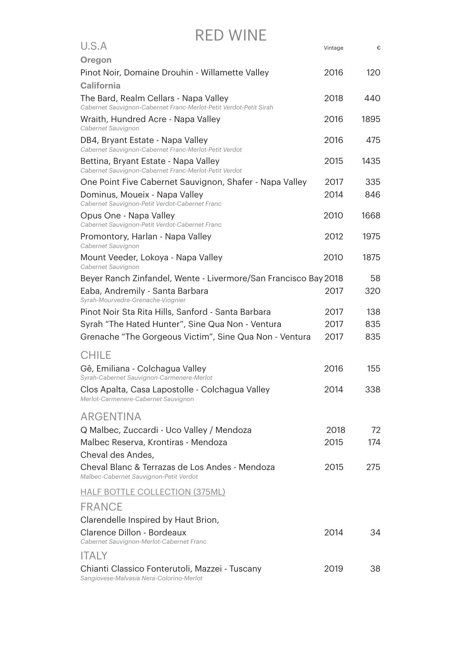| U.S.A                                                                                                      | Vintage | €    |
|------------------------------------------------------------------------------------------------------------|---------|------|
| <b>Oregon</b>                                                                                              |         |      |
| Pinot Noir, Domaine Drouhin - Willamette Valley                                                            | 2016    | 120  |
| <b>California</b>                                                                                          |         |      |
| The Bard, Realm Cellars - Napa Valley<br>Cabernet Sauvignon-Cabernet Franc-Merlot-Petit Verdot-Petit Sirah | 2018    | 440  |
| Wraith, Hundred Acre - Napa Valley<br>Cabernet Sauvignon                                                   | 2016    | 1895 |
| DB4, Bryant Estate - Napa Valley<br>Cabernet Sauvignon-Cabernet Franc-Merlot-Petit Verdot                  | 2016    | 475  |
| Bettina, Bryant Estate - Napa Valley<br>Cabernet Sauvignon-Cabernet Franc-Merlot-Petit Verdot              | 2015    | 1435 |
| One Point Five Cabernet Sauvignon, Shafer - Napa Valley                                                    | 2017    | 335  |
| Dominus, Moueix - Napa Valley<br>Cabernet Sauvignon-Petit Verdot-Cabernet Franc                            | 2014    | 846  |
| Opus One - Napa Valley<br>Cabernet Sauvignon-Petit Verdot-Cabernet Franc                                   | 2010    | 1668 |
| Promontory, Harlan - Napa Valley<br>Cabernet Sauvignon                                                     | 2012    | 1975 |
| Mount Veeder, Lokoya - Napa Valley<br>Cabernet Sauvignon                                                   | 2010    | 1875 |
| Beyer Ranch Zinfandel, Wente - Livermore/San Francisco Bay 2018                                            |         | 58   |
| Eaba, Andremily - Santa Barbara<br>Syrah-Mourvedre-Grenache-Viognier                                       | 2017    | 320  |
| Pinot Noir Sta Rita Hills, Sanford - Santa Barbara                                                         | 2017    | 138  |
| Syrah "The Hated Hunter", Sine Qua Non - Ventura                                                           | 2017    | 835  |
| Grenache "The Gorgeous Victim", Sine Qua Non - Ventura                                                     | 2017    | 835  |
| <b>CHILE</b>                                                                                               |         |      |
| Gê, Emiliana - Colchagua Valley                                                                            | 2016    | 155  |
| Syrah-Cabernet Sauvignon-Carmenere-Merlot                                                                  |         |      |
| Clos Apalta, Casa Lapostolle - Colchagua Valley<br>Merlot-Carmenere-Cabernet Sauvignon                     | 2014    | 338  |
| <b>ARGENTINA</b>                                                                                           |         |      |
| Q Malbec, Zuccardi - Uco Valley / Mendoza                                                                  | 2018    | 72   |
| Malbec Reserva, Krontiras - Mendoza                                                                        | 2015    | 174  |
| Cheval des Andes,                                                                                          |         |      |
| Cheval Blanc & Terrazas de Los Andes - Mendoza<br>Malbec-Cabernet Sauvignon-Petit Verdot                   | 2015    | 275  |
| <b>HALF BOTTLE COLLECTION (375ML)</b>                                                                      |         |      |
| <b>FRANCE</b>                                                                                              |         |      |
| Clarendelle Inspired by Haut Brion,                                                                        |         |      |
| Clarence Dillon - Bordeaux<br>Cabernet Sauvignon-Merlot-Cabernet Franc                                     | 2014    | 34   |
| <b>ITALY</b>                                                                                               |         |      |
| Chianti Classico Fonterutoli, Mazzei - Tuscany<br>Sangiovese-Malvasia Nera-Colorino-Merlot                 | 2019    | 38   |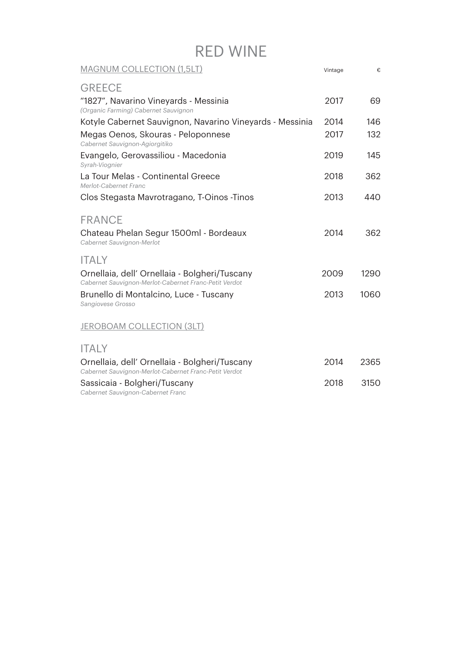| <b>MAGNUM COLLECTION (1,5LT)</b>                                                                       | Vintage | €    |
|--------------------------------------------------------------------------------------------------------|---------|------|
| <b>GREECE</b>                                                                                          |         |      |
| "1827", Navarino Vineyards - Messinia                                                                  | 2017    | 69   |
| (Organic Farming) Cabernet Sauvignon<br>Kotyle Cabernet Sauvignon, Navarino Vineyards - Messinia       | 2014    | 146  |
| Megas Oenos, Skouras - Peloponnese                                                                     | 2017    | 132  |
| Cabernet Sauvignon-Agiorgitiko                                                                         |         |      |
| Evangelo, Gerovassiliou - Macedonia<br>Syrah-Viognier                                                  | 2019    | 145  |
| La Tour Melas - Continental Greece<br>Merlot-Cabernet Franc                                            | 2018    | 362  |
| Clos Stegasta Mavrotragano, T-Oinos - Tinos                                                            | 2013    | 440  |
| <b>FRANCE</b>                                                                                          |         |      |
| Chateau Phelan Segur 1500ml - Bordeaux<br>Cabernet Sauvignon-Merlot                                    | 2014    | 362  |
| <b>ITALY</b>                                                                                           |         |      |
| Ornellaia, dell' Ornellaia - Bolgheri/Tuscany<br>Cabernet Sauvignon-Merlot-Cabernet Franc-Petit Verdot | 2009    | 1290 |
| Brunello di Montalcino, Luce - Tuscany<br>Sangiovese Grosso                                            | 2013    | 1060 |
| <b>JEROBOAM COLLECTION (3LT)</b>                                                                       |         |      |
| <b>ITALY</b>                                                                                           |         |      |
| Ornellaia, dell' Ornellaia - Bolgheri/Tuscany<br>Cabernet Sauvignon-Merlot-Cabernet Franc-Petit Verdot | 2014    | 2365 |
| Sassicaia - Bolgheri/Tuscany<br>Cabernet Sauvignon-Cabernet Franc                                      | 2018    | 3150 |